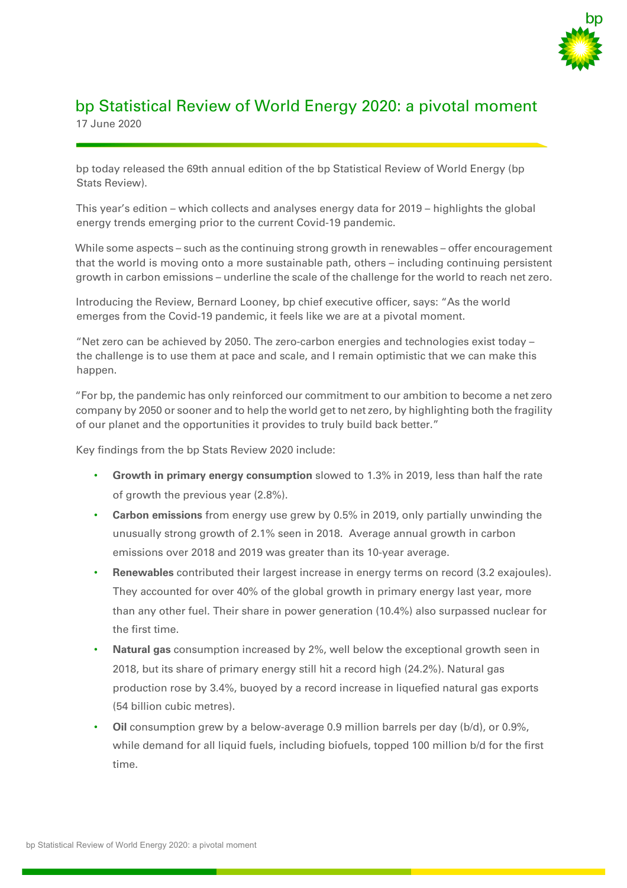

## bp Statistical Review of World Energy 2020: a pivotal moment 17 June 2020

bp today released the 69th annual edition of the bp Statistical Review of World Energy (bp Stats Review).

This year's edition – which collects and analyses energy data for 2019 – highlights the global energy trends emerging prior to the current Covid-19 pandemic.

While some aspects – such as the continuing strong growth in renewables – offer encouragement that the world is moving onto a more sustainable path, others – including continuing persistent growth in carbon emissions – underline the scale of the challenge for the world to reach net zero.

Introducing the Review, Bernard Looney, bp chief executive officer, says: "As the world emerges from the Covid-19 pandemic, it feels like we are at a pivotal moment.

"Net zero can be achieved by 2050. The zero-carbon energies and technologies exist today – the challenge is to use them at pace and scale, and I remain optimistic that we can make this happen.

"For bp, the pandemic has only reinforced our commitment to our ambition to become a net zero company by 2050 or sooner and to help the world get to net zero, by highlighting both the fragility of our planet and the opportunities it provides to truly build back better."

Key findings from the bp Stats Review 2020 include:

- **Growth in primary energy consumption** slowed to 1.3% in 2019, less than half the rate of growth the previous year (2.8%).
- **Carbon emissions** from energy use grew by 0.5% in 2019, only partially unwinding the unusually strong growth of 2.1% seen in 2018. Average annual growth in carbon emissions over 2018 and 2019 was greater than its 10-year average.
- **Renewables** contributed their largest increase in energy terms on record (3.2 exajoules). They accounted for over 40% of the global growth in primary energy last year, more than any other fuel. Their share in power generation (10.4%) also surpassed nuclear for the first time.
- **Natural gas** consumption increased by 2%, well below the exceptional growth seen in 2018, but its share of primary energy still hit a record high (24.2%). Natural gas production rose by 3.4%, buoyed by a record increase in liquefied natural gas exports (54 billion cubic metres).
- **Oil** consumption grew by a below-average 0.9 million barrels per day (b/d), or 0.9%, while demand for all liquid fuels, including biofuels, topped 100 million b/d for the first time.